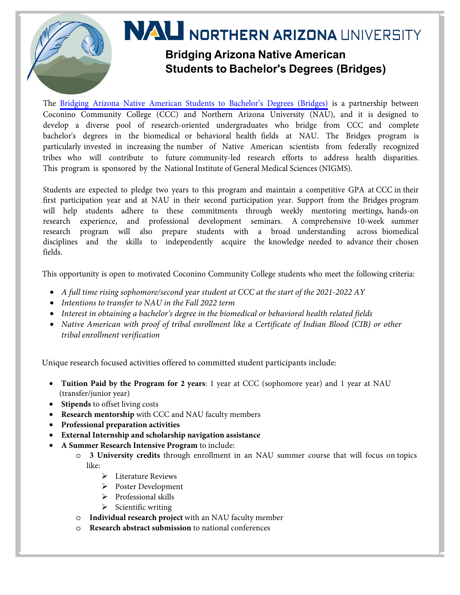

The [Bridging Arizona Native American Students to Bachelor's Degrees \(Bridges\)](https://nau.edu/bridges/) is a partnership between Coconino Community College (CCC) and Northern Arizona University (NAU), and it is designed to develop a diverse pool of research-oriented undergraduates who bridge from CCC and complete bachelor's degrees in the biomedical or behavioral health fields at NAU. The Bridges program is particularly invested in increasing the number of Native American scientists from federally recognized tribes who will contribute to future community-led research efforts to address health disparities. This program is sponsored by the National Institute of General Medical Sciences (NIGMS).

Students are expected to pledge two years to this program and maintain a competitive GPA at CCC in their first participation year and at NAU in their second participation year. Support from the Bridges program will help students adhere to these commitments through weekly mentoring meetings, hands-on research experience, and professional development seminars. A comprehensive 10-week summer research program will also prepare students with a broad understanding across biomedical disciplines and the skills to independently acquire the knowledge needed to advance their chosen fields.

This opportunity is open to motivated Coconino Community College students who meet the following criteria:

- *A full time rising sophomore/second year student at CCC at the start of the 2021-2022 AY*
- *Intentions to transfer to NAU in the Fall 2022 term*
- *Interest in obtaining a bachelor's degree in the biomedical or behavioral health related fields*
- *Native American with proof of tribal enrollment like a Certificate of Indian Blood (CIB) or other tribal enrollment verification*

Unique research focused activities offered to committed student participants include:

- **Tuition Paid by the Program for 2 years**: 1 year at CCC (sophomore year) and 1 year at NAU (transfer/junior year)
- **Stipends** to offset living costs
- **Research mentorship** with CCC and NAU faculty members
- **Professional preparation activities**
- **External Internship and scholarship navigation assistance**
- **A Summer Research Intensive Program** to include:
	- o **3 University credits** through enrollment in an NAU summer course that will focus on topics like:
		- > Literature Reviews
		- Poster Development
		- > Professional skills
		- $\triangleright$  Scientific writing
		- o **Individual research project** with an NAU faculty member
		- **Research abstract submission** to national conferences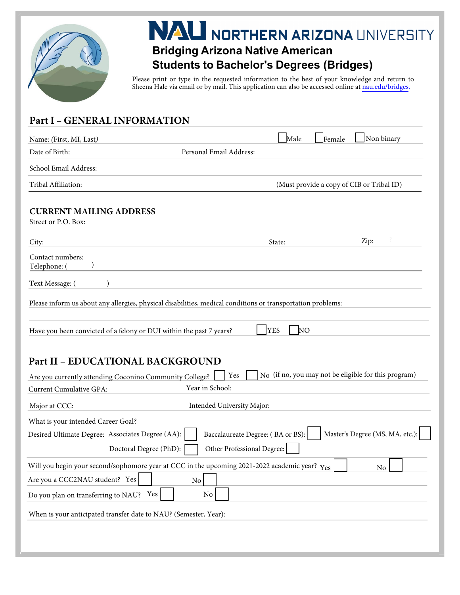

# **NAU NORTHERN ARIZONA UNIVERSITY**

### **Bridging Arizona Native American Students to Bachelor's Degrees (Bridges)**

Please print or type in the requested information to the best of your knowledge and return to Sheena Hale via email or by mail. This application can also be accessed online at [nau.edu/bridges.](https://nau.edu/bridges/)

#### **Part I - GENERAL INFORMATION**

| Name: (First, MI, Last)                                                                                     |                                   | Male                         | Non binary<br>Female                                 |
|-------------------------------------------------------------------------------------------------------------|-----------------------------------|------------------------------|------------------------------------------------------|
| Date of Birth:                                                                                              | Personal Email Address:           |                              |                                                      |
| School Email Address:                                                                                       |                                   |                              |                                                      |
| Tribal Affiliation:                                                                                         |                                   |                              | (Must provide a copy of CIB or Tribal ID)            |
| <b>CURRENT MAILING ADDRESS</b><br>Street or P.O. Box:                                                       |                                   |                              |                                                      |
| City:                                                                                                       |                                   | State:                       | Zip:                                                 |
| Contact numbers:<br>Telephone: (                                                                            |                                   |                              |                                                      |
| Text Message: (                                                                                             |                                   |                              |                                                      |
| Please inform us about any allergies, physical disabilities, medical conditions or transportation problems: |                                   |                              |                                                      |
|                                                                                                             |                                   |                              |                                                      |
| Have you been convicted of a felony or DUI within the past 7 years?                                         |                                   | <b>YES</b><br>NO <sub></sub> |                                                      |
|                                                                                                             |                                   |                              |                                                      |
| <b>Part II - EDUCATIONAL BACKGROUND</b>                                                                     |                                   |                              |                                                      |
| Are you currently attending Coconino Community College?                                                     | Yes                               |                              | No (if no, you may not be eligible for this program) |
| <b>Current Cumulative GPA:</b>                                                                              | Year in School:                   |                              |                                                      |
| Major at CCC:                                                                                               | Intended University Major:        |                              |                                                      |
| What is your intended Career Goal?                                                                          |                                   |                              |                                                      |
| Desired Ultimate Degree: Associates Degree (AA):                                                            | Baccalaureate Degree: (BA or BS): |                              | Master's Degree (MS, MA, etc.):                      |
| Doctoral Degree (PhD):                                                                                      | Other Professional Degree:        |                              |                                                      |
| Will you begin your second/sophomore year at CCC in the upcoming 2021-2022 academic year? Yes               |                                   |                              | $\rm No$                                             |
| Are you a CCC2NAU student? Yes                                                                              | No                                |                              |                                                      |
| Do you plan on transferring to NAU? Yes                                                                     | $\rm No$                          |                              |                                                      |
| When is your anticipated transfer date to NAU? (Semester, Year):                                            |                                   |                              |                                                      |
|                                                                                                             |                                   |                              |                                                      |
|                                                                                                             |                                   |                              |                                                      |
|                                                                                                             |                                   |                              |                                                      |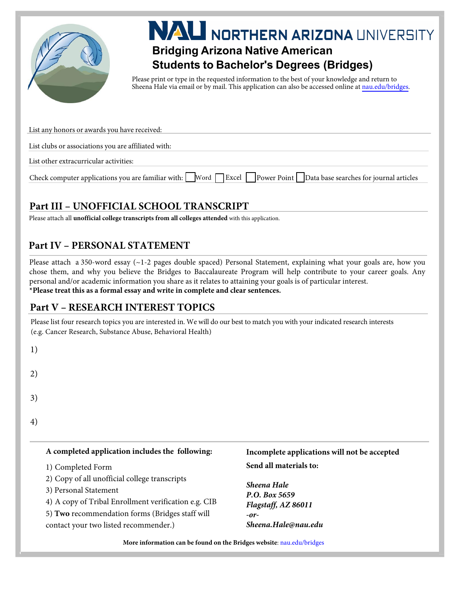

# **Bridging Arizona Native American**<br>Bridging Arizona Native American

## **Students to Bachelor's Degrees (Bridges)**

Please print or type in the requested information to the best of your knowledge and return to Sheena Hale via email or by mail. This application can also be accessed online at [nau.edu/bridges.](https://nau.edu/bridges/)

| List any honors or awards you have received:                                                                                           |
|----------------------------------------------------------------------------------------------------------------------------------------|
|                                                                                                                                        |
| List clubs or associations you are affiliated with:                                                                                    |
|                                                                                                                                        |
| List other extracurricular activities:                                                                                                 |
| Check computer applications you are familiar with: Word $\Box$ Excel $\Box$ Power Point $\Box$ Data base searches for journal articles |

#### **1**Bart III - UNOFFICIAL SCHOOL TRANSCRIPT

Please attach all *unofficial college transcripts from all colleges attended* with this application.

#### **Part IV - PERSONAL STATEMENT**

Please attach a 350-word essay  $(-1-2)$  pages double spaced) Personal Statement, explaining what your goals are, how you chose them, and why you believe the Bridges to Baccalaureate Program will help contribute to your career goals. Any personal and/or academic information you share as it relates to attaining your goals is of particular interest. **\*Please treat this as a formal essay and write in complete and clear sentences.**

#### **Part V - RESEARCH INTEREST TOPICS**

Please list four research topics you are interested in. We will do our best to match you with your indicated research interests (e.g. Cancer Research, Substance Abuse, Behavioral Health)

| × |         |
|---|---------|
|   | ×<br>۰. |

2)

3)

- 
- 4)

#### A completed application includes the following:

- 1) Completed Form
- 2) Copy of all unofficial college transcripts
- 3) Personal Statement
- 4) A copy of Tribal Enrollment verification e.g. CIB
- 5) Two recommendation forms (Bridges staff will

contact your two listed recommender.)

#### Incomplete applications will not be accepted **Send all materials to:**

**Sheena Hale P.O.** Box 5659  $Flagstaff, AZ 86011$  $-$ or $-$ Sheena.Hale@nau.edu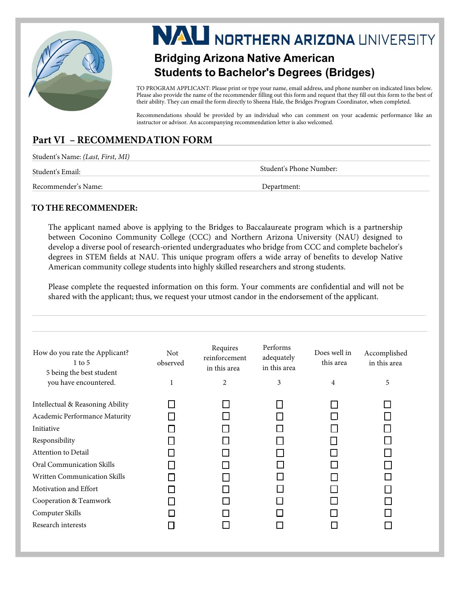

# **NAU NORTHERN ARIZONA UNIVERSITY**

### **Bridging Arizona Native American Students to Bachelor's Degrees (Bridges)**

TO PROGRAM APPLICANT: Please print or type your name, email address, and phone number on indicated lines below. Please also provide the name of the recommender filling out this form and request that they fill out this form to the best of their ability. They can email the form directly to Sheena Hale, the Bridges Program Coordinator, when completed.

Recommendations should be provided by an individual who can comment on your academic performance like an instructor or advisor. An accompanying recommendation letter is also welcomed.

#### **Part VI - RECOMMENDATION FORM**

| Student's Name: <i>(Last, First, MI)</i> |                         |
|------------------------------------------|-------------------------|
| Student's Email:                         | Student's Phone Number: |
| Recommender's Name:                      | Department:             |

#### **TO THE RECOMMENDER:**

The applicant named above is applying to the [Bridges to Ba](https://nau.edu/bridges/)ccalaureate program which is a partnership between Coconino Community College (CCC) and Northern Arizona University (NAU) designed to develop a diverse pool of research-oriented undergraduates who bridge from CCC and complete bachelor's degrees in STEM fields at NAU. This unique program offers a wide array of benefits to develop Native American community college students into highly skilled researchers and strong students.

Please complete the requested information on this form. Your comments are confidential and will not be shared with the applicant; thus, we request your utmost candor in the endorsement of the applicant.

| How do you rate the Applicant?<br>$1$ to 5<br>5 being the best student | Not<br>observed | Requires<br>reinforcement<br>in this area | Performs<br>adequately<br>in this area | Does well in<br>this area | Accomplished<br>in this area |
|------------------------------------------------------------------------|-----------------|-------------------------------------------|----------------------------------------|---------------------------|------------------------------|
| you have encountered.                                                  | 1               | $\overline{2}$                            | 3                                      | $\overline{4}$            | 5                            |
| Intellectual & Reasoning Ability                                       |                 |                                           |                                        |                           |                              |
| Academic Performance Maturity                                          |                 |                                           |                                        |                           |                              |
| Initiative                                                             |                 |                                           |                                        |                           |                              |
| Responsibility                                                         |                 |                                           |                                        |                           |                              |
| Attention to Detail                                                    |                 |                                           |                                        |                           |                              |
| Oral Communication Skills                                              |                 |                                           |                                        |                           |                              |
| <b>Written Communication Skills</b>                                    |                 |                                           |                                        |                           |                              |
| Motivation and Effort                                                  |                 |                                           |                                        |                           |                              |
| Cooperation & Teamwork                                                 |                 |                                           |                                        |                           |                              |
| Computer Skills                                                        |                 |                                           |                                        |                           |                              |
| Research interests                                                     |                 |                                           |                                        |                           |                              |